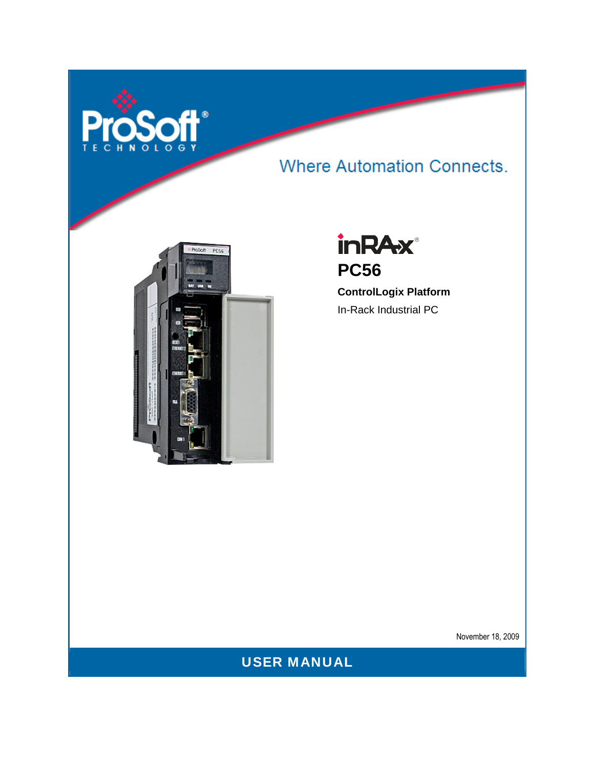

# **Where Automation Connects.**





**ControlLogix Platform**  In-Rack Industrial PC

November 18, 2009

USER MANUAL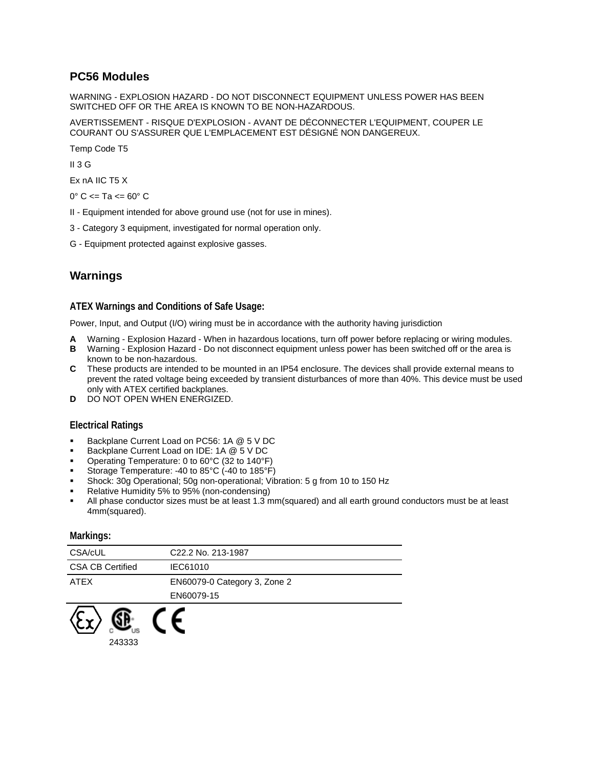### <span id="page-1-0"></span>**PC56 Modules**

WARNING - EXPLOSION HAZARD - DO NOT DISCONNECT EQUIPMENT UNLESS POWER HAS BEEN SWITCHED OFF OR THE AREA IS KNOWN TO BE NON-HAZARDOUS.

AVERTISSEMENT - RISQUE D'EXPLOSION - AVANT DE DÉCONNECTER L'EQUIPMENT, COUPER LE COURANT OU S'ASSURER QUE L'EMPLACEMENT EST DÉSIGNÉ NON DANGEREUX.

Temp Code T5

 $II$  3 G

Ex nA IIC T5 X

 $0^{\circ}$  C <= Ta <=  $60^{\circ}$  C

- II Equipment intended for above ground use (not for use in mines).
- 3 Category 3 equipment, investigated for normal operation only.
- G Equipment protected against explosive gasses.

## **Warnings**

#### **ATEX Warnings and Conditions of Safe Usage:**

Power, Input, and Output (I/O) wiring must be in accordance with the authority having jurisdiction

- **A** Warning Explosion Hazard When in hazardous locations, turn off power before replacing or wiring modules.
- **B** Warning Explosion Hazard Do not disconnect equipment unless power has been switched off or the area is known to be non-hazardous.
- **C** These products are intended to be mounted in an IP54 enclosure. The devices shall provide external means to prevent the rated voltage being exceeded by transient disturbances of more than 40%. This device must be used only with ATEX certified backplanes.
- **D** DO NOT OPEN WHEN ENERGIZED.

#### **Electrical Ratings**

- Backplane Current Load on PC56: 1A @ 5 V DC
- Backplane Current Load on IDE: 1A @ 5 V DC
- Operating Temperature: 0 to 60°C (32 to 140°F)
- Storage Temperature: -40 to 85°C (-40 to 185°F)
- Shock: 30g Operational; 50g non-operational; Vibration: 5 g from 10 to 150 Hz
- Relative Humidity 5% to 95% (non-condensing)
- All phase conductor sizes must be at least 1.3 mm(squared) and all earth ground conductors must be at least 4mm(squared).

#### **Markings:**

243333

| CSA/cUL                 | C22.2 No. 213-1987           |
|-------------------------|------------------------------|
| <b>CSA CB Certified</b> | IEC61010                     |
| <b>ATEX</b>             | EN60079-0 Category 3, Zone 2 |
|                         | EN60079-15                   |
|                         |                              |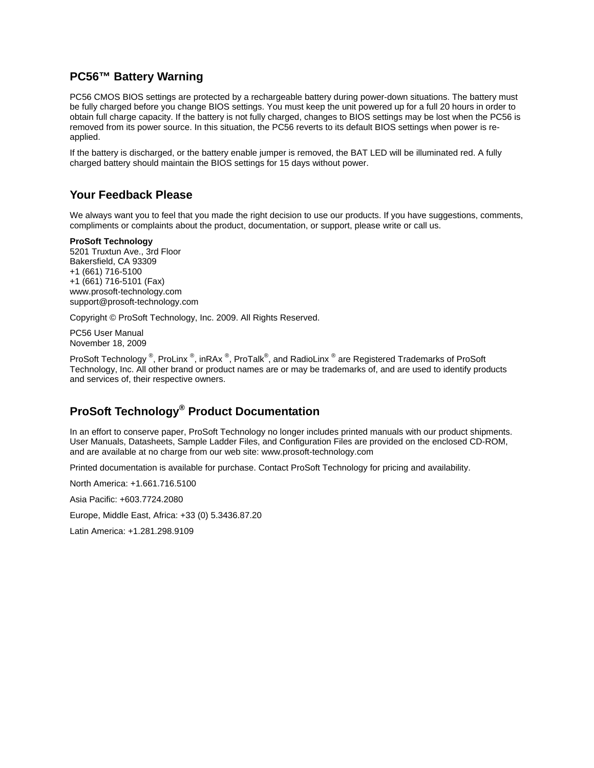### <span id="page-2-0"></span>**PC56™ Battery Warning**

PC56 CMOS BIOS settings are protected by a rechargeable battery during power-down situations. The battery must be fully charged before you change BIOS settings. You must keep the unit powered up for a full 20 hours in order to obtain full charge capacity. If the battery is not fully charged, changes to BIOS settings may be lost when the PC56 is removed from its power source. In this situation, the PC56 reverts to its default BIOS settings when power is reapplied.

If the battery is discharged, or the battery enable jumper is removed, the BAT LED will be illuminated red. A fully charged battery should maintain the BIOS settings for 15 days without power.

## **Your Feedback Please**

We always want you to feel that you made the right decision to use our products. If you have suggestions, comments, compliments or complaints about the product, documentation, or support, please write or call us.

#### **ProSoft Technology**

5201 Truxtun Ave., 3rd Floor Bakersfield, CA 93309 +1 (661) 716-5100 +1 (661) 716-5101 (Fax) www.prosoft-technology.com support@prosoft-technology.com

Copyright © ProSoft Technology, Inc. 2009. All Rights Reserved.

PC56 User Manual November 18, 2009

ProSoft Technology  $^\circledast$ , ProLinx  $^\circledast$ , inRAx  $^\circledast$ , ProTalk $^\circledast$ , and RadioLinx  $^\circledast$  are Registered Trademarks of ProSoft Technology, Inc. All other brand or product names are or may be trademarks of, and are used to identify products and services of, their respective owners.

# **ProSoft Technology® Product Documentation**

In an effort to conserve paper, ProSoft Technology no longer includes printed manuals with our product shipments. User Manuals, Datasheets, Sample Ladder Files, and Configuration Files are provided on the enclosed CD-ROM, and are available at no charge from our web site: www.prosoft-technology.com

Printed documentation is available for purchase. Contact ProSoft Technology for pricing and availability.

North America: +1.661.716.5100

Asia Pacific: +603.7724.2080

Europe, Middle East, Africa: +33 (0) 5.3436.87.20

Latin America: +1.281.298.9109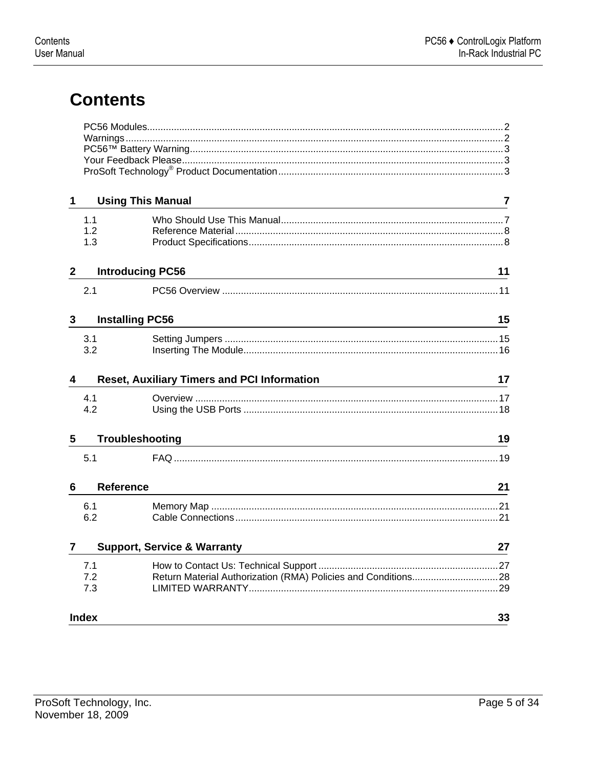# **Contents**

| 1            | <b>Using This Manual</b><br><u> 1989 - Johann Barn, mars ann an t-Amhain an t-Amhain an t-Amhain an t-Amhain an t-Amhain an t-Amhain an t-Amh</u> | 7  |
|--------------|---------------------------------------------------------------------------------------------------------------------------------------------------|----|
|              | 1.1                                                                                                                                               |    |
|              | 1.2                                                                                                                                               |    |
|              | 1.3                                                                                                                                               |    |
| $\mathbf{2}$ | <b>Introducing PC56</b>                                                                                                                           | 11 |
|              | 2.1                                                                                                                                               |    |
|              |                                                                                                                                                   |    |
| $\mathbf{3}$ | <b>Installing PC56</b>                                                                                                                            | 15 |
|              | 3.1                                                                                                                                               |    |
|              | 3.2                                                                                                                                               |    |
| 4            | <b>Reset, Auxiliary Timers and PCI Information</b>                                                                                                | 17 |
|              |                                                                                                                                                   |    |
|              | 4.1                                                                                                                                               |    |
|              | 4.2                                                                                                                                               |    |
| 5            | <b>Troubleshooting</b>                                                                                                                            | 19 |
|              | 5.1                                                                                                                                               |    |
| 6            | <b>Reference</b>                                                                                                                                  | 21 |
|              |                                                                                                                                                   |    |
|              | 6.1<br>6.2                                                                                                                                        |    |
|              |                                                                                                                                                   |    |
| 7            | <b>Support, Service &amp; Warranty</b>                                                                                                            | 27 |
|              | 7.1                                                                                                                                               |    |
|              | 7.2                                                                                                                                               |    |
|              | 7.3                                                                                                                                               |    |
|              | <b>Index</b>                                                                                                                                      | 33 |
|              |                                                                                                                                                   |    |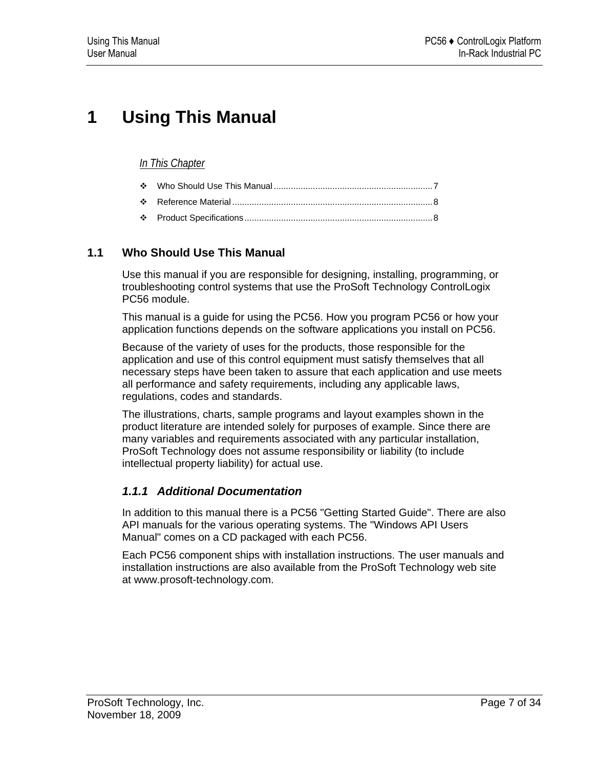# <span id="page-6-0"></span>**1 Using This Manual**

## *In This Chapter*

| $\bullet$ |  |  |
|-----------|--|--|
|-----------|--|--|

- [Reference Material](#page-7-0) ..................................................................................[8](#page-7-0)
- [Product Specifications](#page-7-0).............................................................................[8](#page-7-0)

## **1.1 Who Should Use This Manual**

Use this manual if you are responsible for designing, installing, programming, or troubleshooting control systems that use the ProSoft Technology ControlLogix PC56 module.

This manual is a guide for using the PC56. How you program PC56 or how your application functions depends on the software applications you install on PC56.

Because of the variety of uses for the products, those responsible for the application and use of this control equipment must satisfy themselves that all necessary steps have been taken to assure that each application and use meets all performance and safety requirements, including any applicable laws, regulations, codes and standards.

The illustrations, charts, sample programs and layout examples shown in the product literature are intended solely for purposes of example. Since there are many variables and requirements associated with any particular installation, ProSoft Technology does not assume responsibility or liability (to include intellectual property liability) for actual use.

## *1.1.1 Additional Documentation*

In addition to this manual there is a PC56 "Getting Started Guide". There are also API manuals for the various operating systems. The "Windows API Users Manual" comes on a CD packaged with each PC56.

Each PC56 component ships with installation instructions. The user manuals and installation instructions are also available from the ProSoft Technology web site at www.prosoft-technology.com.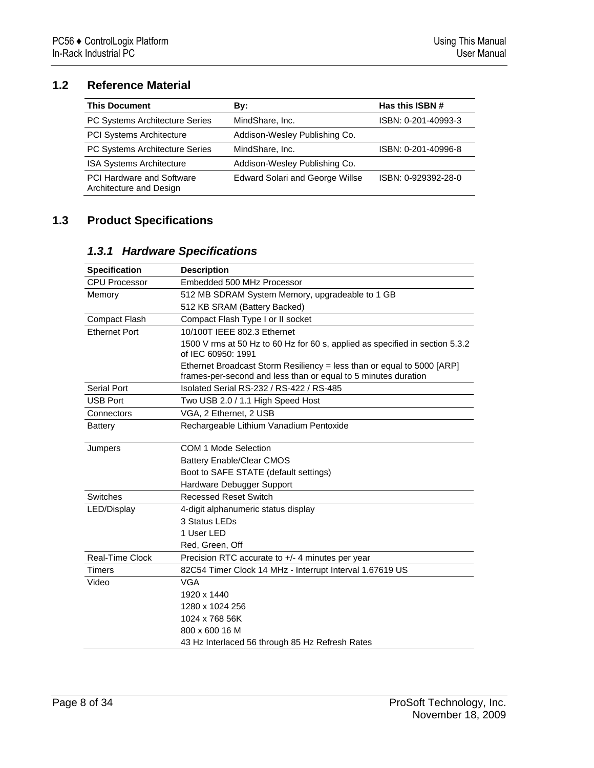# <span id="page-7-0"></span>**1.2 Reference Material**

| <b>This Document</b>                                        | Bv:                                    | Has this ISBN #     |
|-------------------------------------------------------------|----------------------------------------|---------------------|
| PC Systems Architecture Series                              | MindShare, Inc.                        | ISBN: 0-201-40993-3 |
| <b>PCI Systems Architecture</b>                             | Addison-Wesley Publishing Co.          |                     |
| PC Systems Architecture Series                              | MindShare, Inc.                        | ISBN: 0-201-40996-8 |
| <b>ISA Systems Architecture</b>                             | Addison-Wesley Publishing Co.          |                     |
| <b>PCI Hardware and Software</b><br>Architecture and Design | <b>Edward Solari and George Willse</b> | ISBN: 0-929392-28-0 |

# **1.3 Product Specifications**

## *1.3.1 Hardware Specifications*

| <b>Specification</b>                                      | <b>Description</b>                                                                                                                       |
|-----------------------------------------------------------|------------------------------------------------------------------------------------------------------------------------------------------|
| <b>CPU Processor</b>                                      | Embedded 500 MHz Processor                                                                                                               |
| Memory                                                    | 512 MB SDRAM System Memory, upgradeable to 1 GB                                                                                          |
|                                                           | 512 KB SRAM (Battery Backed)                                                                                                             |
| <b>Compact Flash</b><br>Compact Flash Type I or II socket |                                                                                                                                          |
| <b>Ethernet Port</b>                                      | 10/100T IEEE 802.3 Ethernet                                                                                                              |
|                                                           | 1500 V rms at 50 Hz to 60 Hz for 60 s, applied as specified in section 5.3.2<br>of IEC 60950: 1991                                       |
|                                                           | Ethernet Broadcast Storm Resiliency = less than or equal to 5000 [ARP]<br>frames-per-second and less than or equal to 5 minutes duration |
| Serial Port                                               | Isolated Serial RS-232 / RS-422 / RS-485                                                                                                 |
| <b>USB Port</b>                                           | Two USB 2.0 / 1.1 High Speed Host                                                                                                        |
| Connectors                                                | VGA, 2 Ethernet, 2 USB                                                                                                                   |
| <b>Battery</b>                                            | Rechargeable Lithium Vanadium Pentoxide                                                                                                  |
| Jumpers                                                   | COM 1 Mode Selection                                                                                                                     |
|                                                           | <b>Battery Enable/Clear CMOS</b>                                                                                                         |
|                                                           | Boot to SAFE STATE (default settings)                                                                                                    |
|                                                           | Hardware Debugger Support                                                                                                                |
| <b>Switches</b>                                           | <b>Recessed Reset Switch</b>                                                                                                             |
| LED/Display                                               | 4-digit alphanumeric status display                                                                                                      |
|                                                           | 3 Status LEDs                                                                                                                            |
|                                                           | 1 User LED                                                                                                                               |
|                                                           | Red, Green, Off                                                                                                                          |
| Real-Time Clock                                           | Precision RTC accurate to +/- 4 minutes per year                                                                                         |
| <b>Timers</b>                                             | 82C54 Timer Clock 14 MHz - Interrupt Interval 1.67619 US                                                                                 |
| Video                                                     | <b>VGA</b>                                                                                                                               |
|                                                           | 1920 x 1440                                                                                                                              |
|                                                           | 1280 x 1024 256                                                                                                                          |
|                                                           | 1024 x 768 56K                                                                                                                           |
|                                                           | 800 x 600 16 M                                                                                                                           |
|                                                           | 43 Hz Interlaced 56 through 85 Hz Refresh Rates                                                                                          |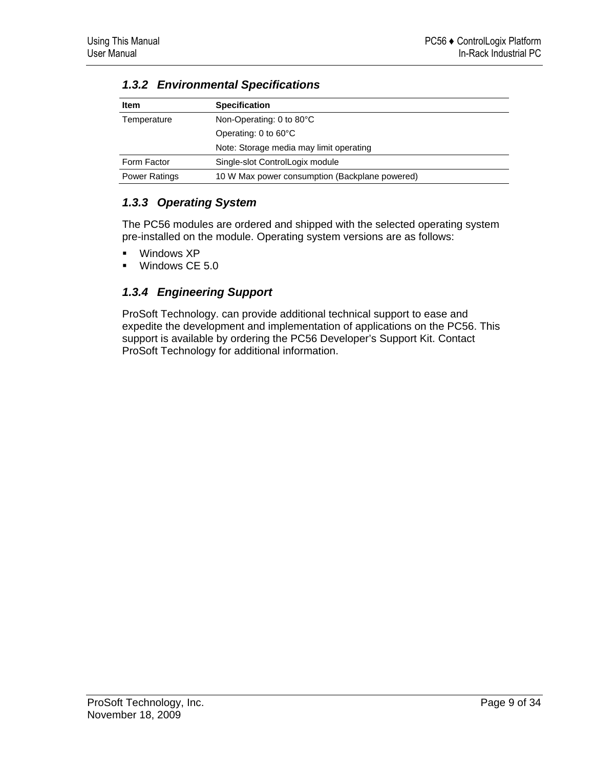| <b>Item</b>          | <b>Specification</b>                           |  |
|----------------------|------------------------------------------------|--|
| Temperature          | Non-Operating: 0 to 80°C                       |  |
|                      | Operating: 0 to 60°C                           |  |
|                      | Note: Storage media may limit operating        |  |
| Form Factor          | Single-slot ControlLogix module                |  |
| <b>Power Ratings</b> | 10 W Max power consumption (Backplane powered) |  |

# *1.3.2 Environmental Specifications*

# *1.3.3 Operating System*

The PC56 modules are ordered and shipped with the selected operating system pre-installed on the module. Operating system versions are as follows:

- Windows XP
- **Windows CE 5.0**

# *1.3.4 Engineering Support*

ProSoft Technology. can provide additional technical support to ease and expedite the development and implementation of applications on the PC56. This support is available by ordering the PC56 Developer's Support Kit. Contact ProSoft Technology for additional information.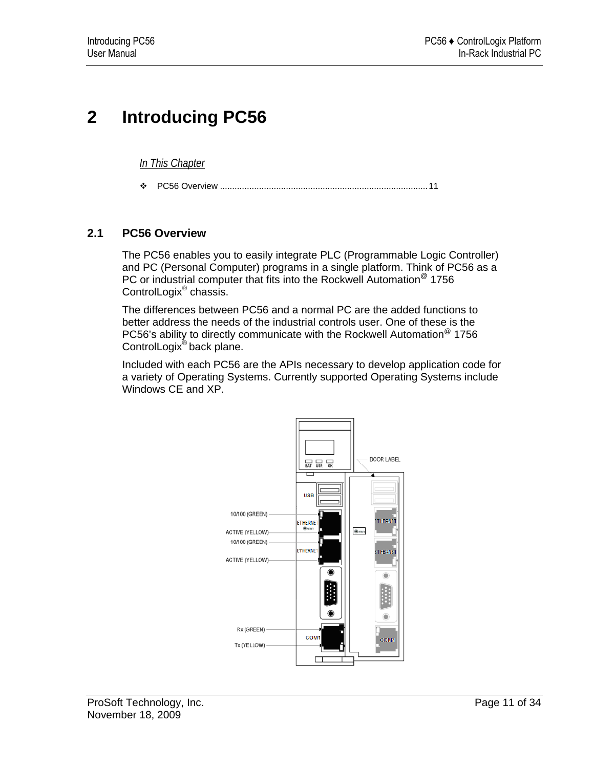# <span id="page-10-0"></span>**2 Introducing PC56**

*In This Chapter*

[PC56 Overview](#page-10-0) .....................................................................................[11](#page-10-0)

## **2.1 PC56 Overview**

The PC56 enables you to easily integrate PLC (Programmable Logic Controller) and PC (Personal Computer) programs in a single platform. Think of PC56 as a PC or industrial computer that fits into the Rockwell Automation<sup>®</sup> 1756 ControlLogix® chassis.

The differences between PC56 and a normal PC are the added functions to better address the needs of the industrial controls user. One of these is the PC56's ability to directly communicate with the Rockwell Automation<sup>®</sup> 1756 ControlLogix® back plane.

Included with each PC56 are the APIs necessary to develop application code for a variety of Operating Systems. Currently supported Operating Systems include Windows CE and XP.

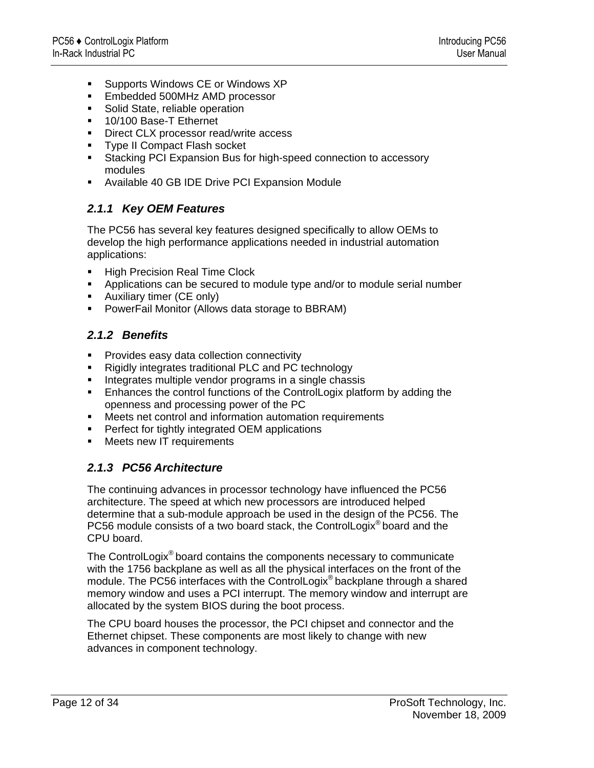- Supports Windows CE or Windows XP
- **Embedded 500MHz AMD processor**
- **Solid State, reliable operation**
- 10/100 Base-T Ethernet
- **Direct CLX processor read/write access**
- **Type II Compact Flash socket**
- Stacking PCI Expansion Bus for high-speed connection to accessory modules
- Available 40 GB IDE Drive PCI Expansion Module

## *2.1.1 Key OEM Features*

The PC56 has several key features designed specifically to allow OEMs to develop the high performance applications needed in industrial automation applications:

- High Precision Real Time Clock
- Applications can be secured to module type and/or to module serial number
- **Auxiliary timer (CE only)**
- **PowerFail Monitor (Allows data storage to BBRAM)**

## *2.1.2 Benefits*

- **Provides easy data collection connectivity**
- Rigidly integrates traditional PLC and PC technology
- Integrates multiple vendor programs in a single chassis
- **Enhances the control functions of the ControlLogix platform by adding the** openness and processing power of the PC
- Meets net control and information automation requirements
- **•** Perfect for tightly integrated OEM applications
- **Neets new IT requirements**

## *2.1.3 PC56 Architecture*

The continuing advances in processor technology have influenced the PC56 architecture. The speed at which new processors are introduced helped determine that a sub-module approach be used in the design of the PC56. The PC56 module consists of a two board stack, the ControlLogix<sup>®</sup> board and the CPU board.

The ControlLogix® board contains the components necessary to communicate with the 1756 backplane as well as all the physical interfaces on the front of the module. The PC56 interfaces with the ControlLogix® backplane through a shared memory window and uses a PCI interrupt. The memory window and interrupt are allocated by the system BIOS during the boot process.

The CPU board houses the processor, the PCI chipset and connector and the Ethernet chipset. These components are most likely to change with new advances in component technology.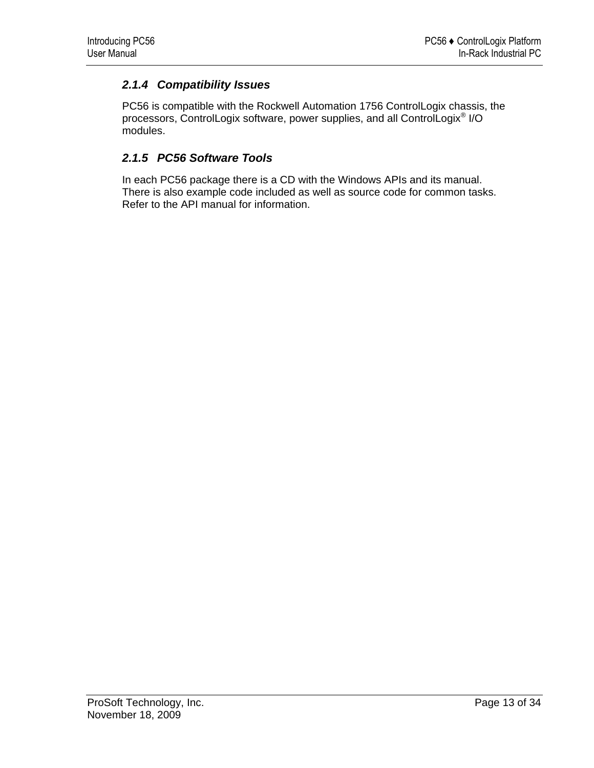# *2.1.4 Compatibility Issues*

PC56 is compatible with the Rockwell Automation 1756 ControlLogix chassis, the processors, ControlLogix software, power supplies, and all ControlLogix® I/O modules.

## *2.1.5 PC56 Software Tools*

In each PC56 package there is a CD with the Windows APIs and its manual. There is also example code included as well as source code for common tasks. Refer to the API manual for information.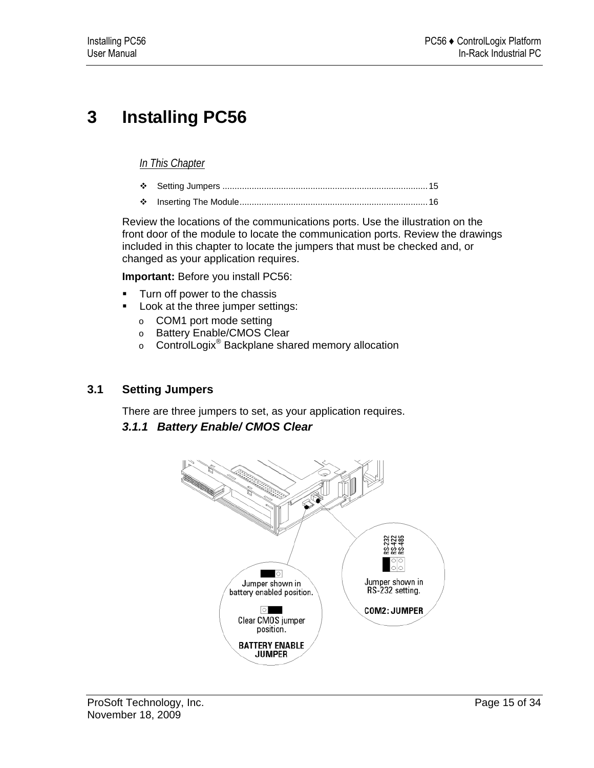# <span id="page-14-0"></span>**3 Installing PC56**

## *In This Chapter*

- [Setting Jumpers](#page-14-0) ....................................................................................[15](#page-14-0)
- [Inserting The Module.](#page-15-0)............................................................................[16](#page-15-0)

Review the locations of the communications ports. Use the illustration on the front door of the module to locate the communication ports. Review the drawings included in this chapter to locate the jumpers that must be checked and, or changed as your application requires.

**Important:** Before you install PC56:

- **Turn off power to the chassis**
- **Look at the three jumper settings:** 
	- o COM1 port mode setting
	- o Battery Enable/CMOS Clear
	- <sup>o</sup> ControlLogix® Backplane shared memory allocation

## **3.1 Setting Jumpers**

There are three jumpers to set, as your application requires.

## *3.1.1 Battery Enable/ CMOS Clear*

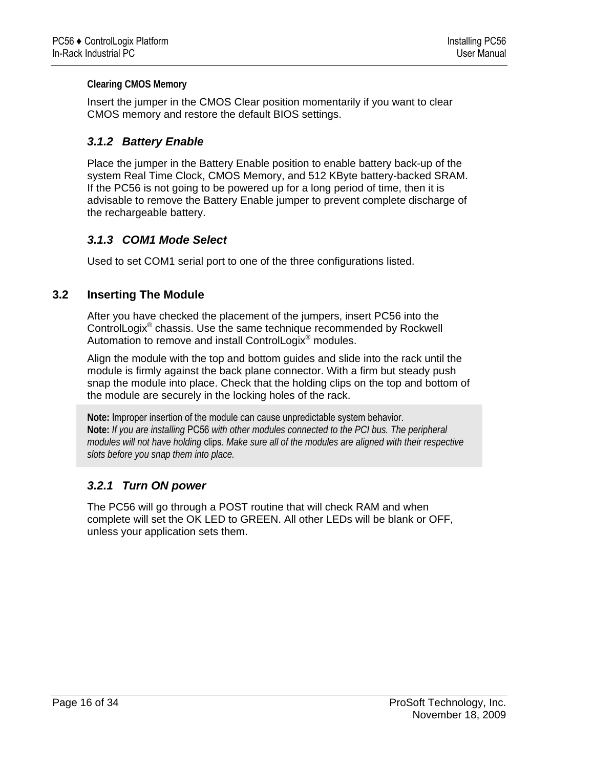### <span id="page-15-0"></span>**Clearing CMOS Memory**

Insert the jumper in the CMOS Clear position momentarily if you want to clear CMOS memory and restore the default BIOS settings.

## *3.1.2 Battery Enable*

Place the jumper in the Battery Enable position to enable battery back-up of the system Real Time Clock, CMOS Memory, and 512 KByte battery-backed SRAM. If the PC56 is not going to be powered up for a long period of time, then it is advisable to remove the Battery Enable jumper to prevent complete discharge of the rechargeable battery.

## *3.1.3 COM1 Mode Select*

Used to set COM1 serial port to one of the three configurations listed.

## **3.2 Inserting The Module**

After you have checked the placement of the jumpers, insert PC56 into the ControlLogix® chassis. Use the same technique recommended by Rockwell Automation to remove and install ControlLogix<sup>®</sup> modules.

Align the module with the top and bottom guides and slide into the rack until the module is firmly against the back plane connector. With a firm but steady push snap the module into place. Check that the holding clips on the top and bottom of the module are securely in the locking holes of the rack.

**Note:** Improper insertion of the module can cause unpredictable system behavior. **Note:** *If you are installing* PC56 *with other modules connected to the PCI bus. The peripheral modules will not have holding* clips. *Make sure all of the modules are aligned with their respective slots before you snap them into place.*

## *3.2.1 Turn ON power*

The PC56 will go through a POST routine that will check RAM and when complete will set the OK LED to GREEN. All other LEDs will be blank or OFF, unless your application sets them.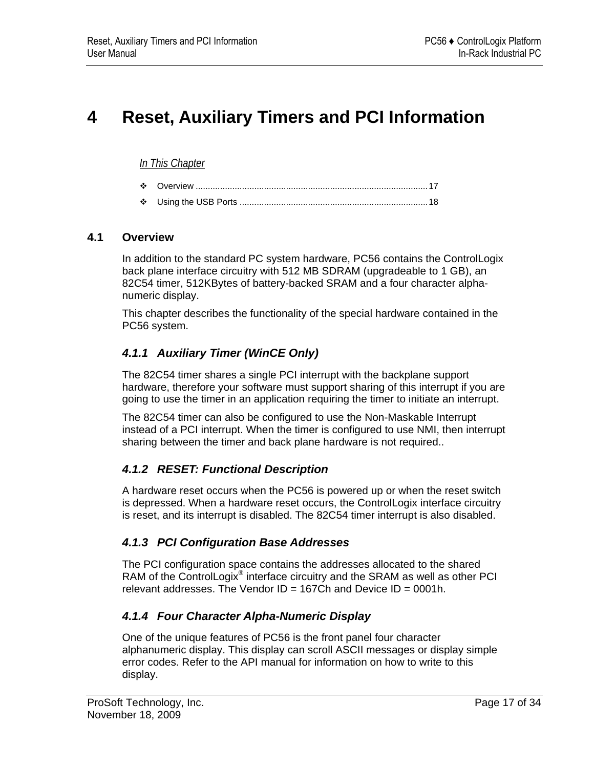# <span id="page-16-0"></span>**4 Reset, Auxiliary Timers and PCI Information**

### *In This Chapter*

| ∙÷ |  |  |
|----|--|--|
|----|--|--|

[Using the USB Ports](#page-17-0) .............................................................................[18](#page-17-0)

## **4.1 Overview**

In addition to the standard PC system hardware, PC56 contains the ControlLogix back plane interface circuitry with 512 MB SDRAM (upgradeable to 1 GB), an 82C54 timer, 512KBytes of battery-backed SRAM and a four character alphanumeric display.

This chapter describes the functionality of the special hardware contained in the PC56 system.

## *4.1.1 Auxiliary Timer (WinCE Only)*

The 82C54 timer shares a single PCI interrupt with the backplane support hardware, therefore your software must support sharing of this interrupt if you are going to use the timer in an application requiring the timer to initiate an interrupt.

The 82C54 timer can also be configured to use the Non-Maskable Interrupt instead of a PCI interrupt. When the timer is configured to use NMI, then interrupt sharing between the timer and back plane hardware is not required..

## *4.1.2 RESET: Functional Description*

A hardware reset occurs when the PC56 is powered up or when the reset switch is depressed. When a hardware reset occurs, the ControlLogix interface circuitry is reset, and its interrupt is disabled. The 82C54 timer interrupt is also disabled.

## *4.1.3 PCI Configuration Base Addresses*

The PCI configuration space contains the addresses allocated to the shared RAM of the ControlLogix<sup>®</sup> interface circuitry and the SRAM as well as other PCI relevant addresses. The Vendor  $ID = 167Ch$  and Device  $ID = 0001h$ .

## *4.1.4 Four Character Alpha-Numeric Display*

One of the unique features of PC56 is the front panel four character alphanumeric display. This display can scroll ASCII messages or display simple error codes. Refer to the API manual for information on how to write to this display.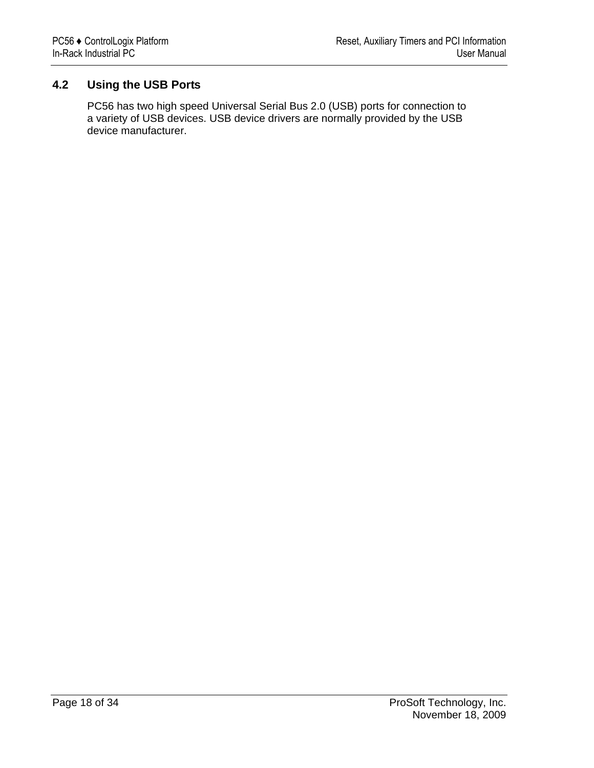# <span id="page-17-0"></span>**4.2 Using the USB Ports**

PC56 has two high speed Universal Serial Bus 2.0 (USB) ports for connection to a variety of USB devices. USB device drivers are normally provided by the USB device manufacturer.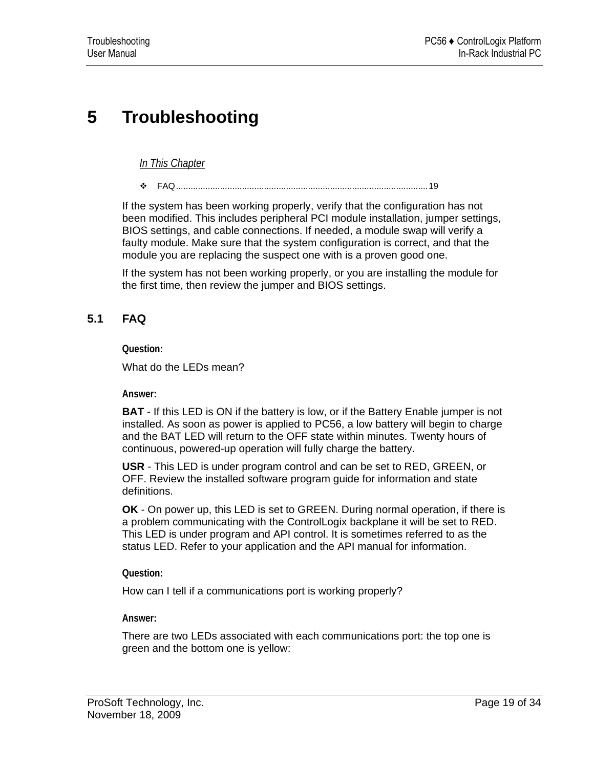# <span id="page-18-0"></span>**5 Troubleshooting**

*In This Chapter*

[FAQ](#page-18-0).......................................................................................................[19](#page-18-0)

If the system has been working properly, verify that the configuration has not been modified. This includes peripheral PCI module installation, jumper settings, BIOS settings, and cable connections. If needed, a module swap will verify a faulty module. Make sure that the system configuration is correct, and that the module you are replacing the suspect one with is a proven good one.

If the system has not been working properly, or you are installing the module for the first time, then review the jumper and BIOS settings.

# **5.1 FAQ**

**Question:** 

What do the LEDs mean?

**Answer:** 

**BAT** - If this LED is ON if the battery is low, or if the Battery Enable jumper is not installed. As soon as power is applied to PC56, a low battery will begin to charge and the BAT LED will return to the OFF state within minutes. Twenty hours of continuous, powered-up operation will fully charge the battery.

**USR** - This LED is under program control and can be set to RED, GREEN, or OFF. Review the installed software program guide for information and state definitions.

**OK** - On power up, this LED is set to GREEN. During normal operation, if there is a problem communicating with the ControlLogix backplane it will be set to RED. This LED is under program and API control. It is sometimes referred to as the status LED. Refer to your application and the API manual for information.

**Question:** 

How can I tell if a communications port is working properly?

**Answer:** 

There are two LEDs associated with each communications port: the top one is green and the bottom one is yellow: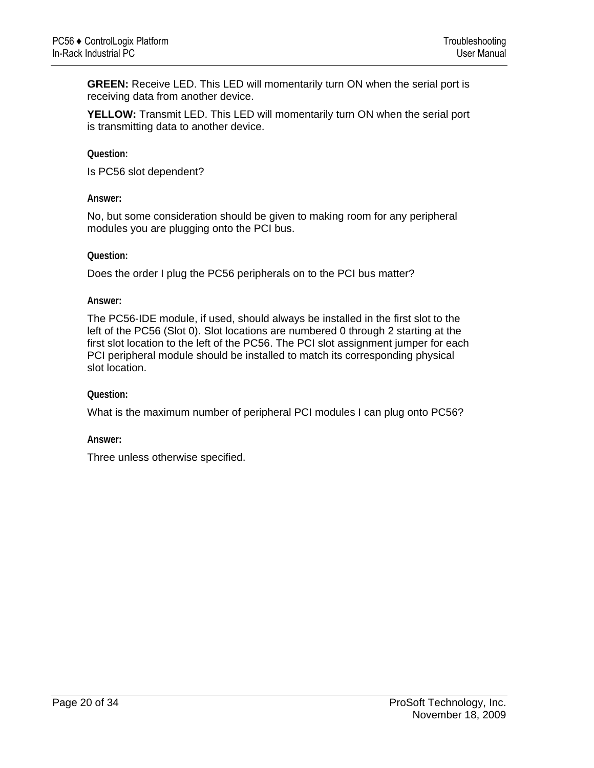**GREEN:** Receive LED. This LED will momentarily turn ON when the serial port is receiving data from another device.

**YELLOW:** Transmit LED. This LED will momentarily turn ON when the serial port is transmitting data to another device.

**Question:** 

Is PC56 slot dependent?

#### **Answer:**

No, but some consideration should be given to making room for any peripheral modules you are plugging onto the PCI bus.

**Question:** 

Does the order I plug the PC56 peripherals on to the PCI bus matter?

**Answer:** 

The PC56-IDE module, if used, should always be installed in the first slot to the left of the PC56 (Slot 0). Slot locations are numbered 0 through 2 starting at the first slot location to the left of the PC56. The PCI slot assignment jumper for each PCI peripheral module should be installed to match its corresponding physical slot location.

### **Question:**

What is the maximum number of peripheral PCI modules I can plug onto PC56?

**Answer:** 

Three unless otherwise specified.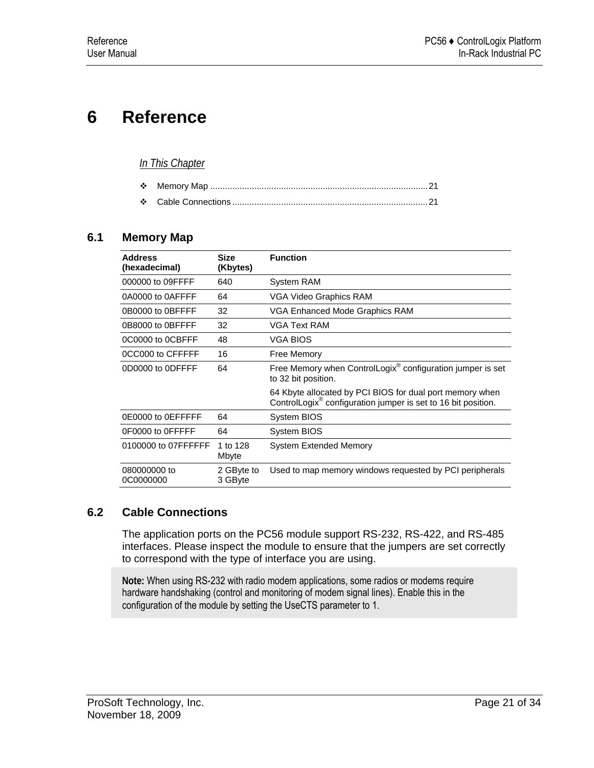# <span id="page-20-0"></span>**6 Reference**

### *In This Chapter*

## **6.1 Memory Map**

| <b>Address</b><br>(hexadecimal) | <b>Size</b><br>(Kbytes) | <b>Function</b>                                                                                                                       |
|---------------------------------|-------------------------|---------------------------------------------------------------------------------------------------------------------------------------|
| 000000 to 09FFFF                | 640                     | System RAM                                                                                                                            |
| 0A0000 to 0AFFFF                | 64                      | VGA Video Graphics RAM                                                                                                                |
| 0B0000 to 0BFFFF                | 32                      | VGA Enhanced Mode Graphics RAM                                                                                                        |
| 0B8000 to 0BFFFF                | 32                      | <b>VGA Text RAM</b>                                                                                                                   |
| 0C0000 to 0CBFFF                | 48                      | <b>VGA BIOS</b>                                                                                                                       |
| 0CC000 to CFFFFF                | 16                      | Free Memory                                                                                                                           |
| 0D0000 to 0DFFFF                | 64                      | Free Memory when ControlLogix® configuration jumper is set<br>to 32 bit position.                                                     |
|                                 |                         | 64 Kbyte allocated by PCI BIOS for dual port memory when<br>ControlLogix <sup>®</sup> configuration jumper is set to 16 bit position. |
| 0E0000 to 0EFFFFF               | 64                      | System BIOS                                                                                                                           |
| 0F0000 to 0FFFFF                | 64                      | System BIOS                                                                                                                           |
| 0100000 to 07FFFFFF             | 1 to 128<br>Mbyte       | <b>System Extended Memory</b>                                                                                                         |
| 080000000 to<br>0C0000000       | 2 GByte to<br>3 GByte   | Used to map memory windows requested by PCI peripherals                                                                               |

## **6.2 Cable Connections**

The application ports on the PC56 module support RS-232, RS-422, and RS-485 interfaces. Please inspect the module to ensure that the jumpers are set correctly to correspond with the type of interface you are using.

**Note:** When using RS-232 with radio modem applications, some radios or modems require hardware handshaking (control and monitoring of modem signal lines). Enable this in the configuration of the module by setting the UseCTS parameter to 1.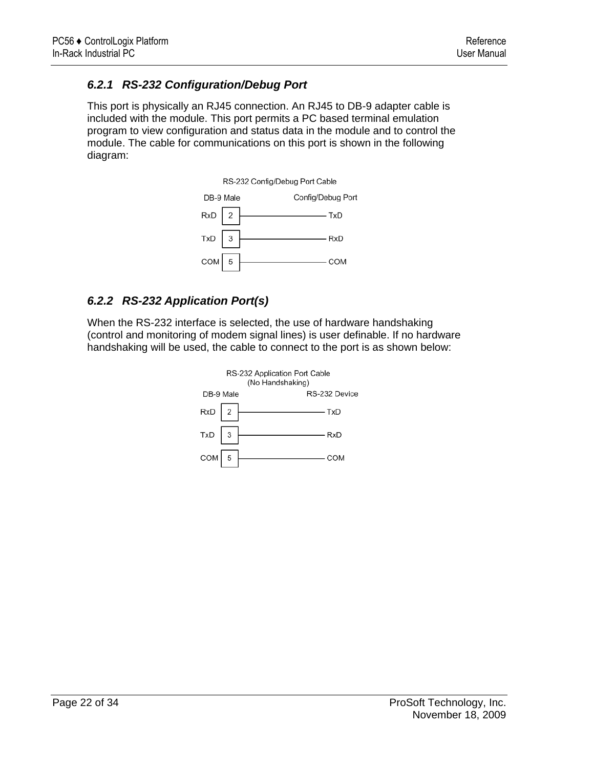# *6.2.1 RS-232 Configuration/Debug Port*

This port is physically an RJ45 connection. An RJ45 to DB-9 adapter cable is included with the module. This port permits a PC based terminal emulation program to view configuration and status data in the module and to control the module. The cable for communications on this port is shown in the following diagram:



# *6.2.2 RS-232 Application Port(s)*

When the RS-232 interface is selected, the use of hardware handshaking (control and monitoring of modem signal lines) is user definable. If no hardware handshaking will be used, the cable to connect to the port is as shown below:

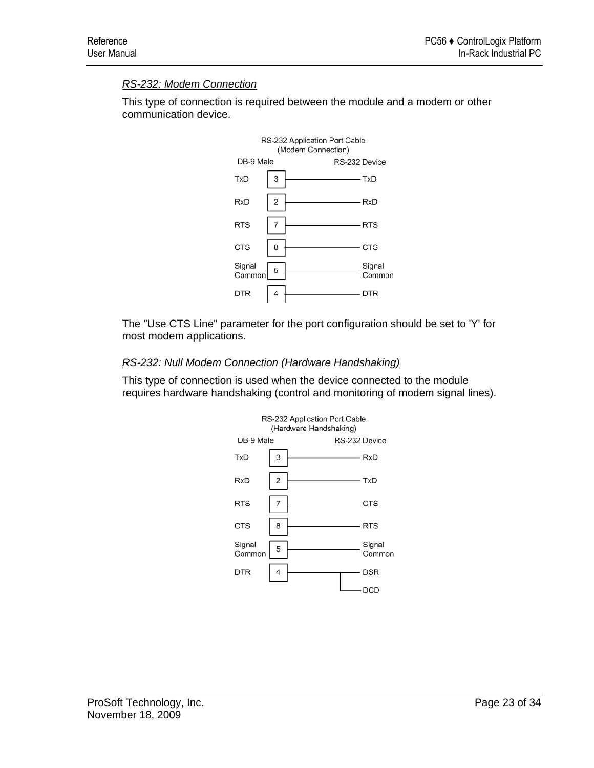## *RS-232: Modem Connection*

This type of connection is required between the module and a modem or other communication device.



The "Use CTS Line" parameter for the port configuration should be set to 'Y' for most modem applications.

### *RS-232: Null Modem Connection (Hardware Handshaking)*

This type of connection is used when the device connected to the module requires hardware handshaking (control and monitoring of modem signal lines).

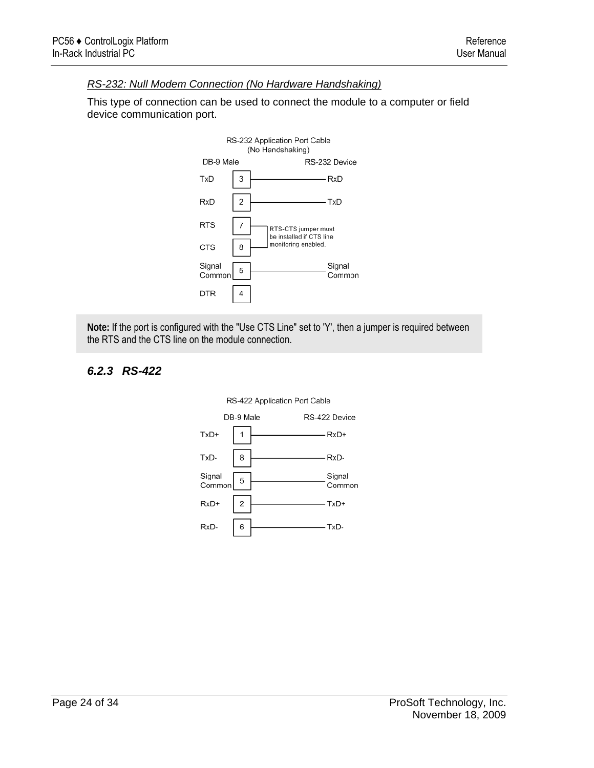### *RS-232: Null Modem Connection (No Hardware Handshaking)*

This type of connection can be used to connect the module to a computer or field device communication port.



**Note:** If the port is configured with the "Use CTS Line" set to 'Y', then a jumper is required between the RTS and the CTS line on the module connection.

## *6.2.3 RS-422*

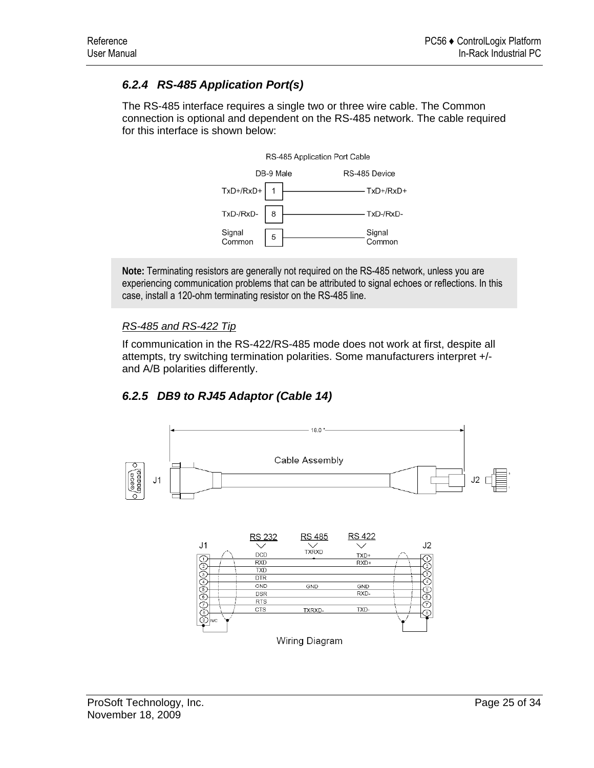# *6.2.4 RS-485 Application Port(s)*

The RS-485 interface requires a single two or three wire cable. The Common connection is optional and dependent on the RS-485 network. The cable required for this interface is shown below:



**Note:** Terminating resistors are generally not required on the RS-485 network, unless you are experiencing communication problems that can be attributed to signal echoes or reflections. In this case, install a 120-ohm terminating resistor on the RS-485 line.

## *RS-485 and RS-422 Tip*

If communication in the RS-422/RS-485 mode does not work at first, despite all attempts, try switching termination polarities. Some manufacturers interpret +/ and A/B polarities differently.

# *6.2.5 DB9 to RJ45 Adaptor (Cable 14)*



Wiring Diagram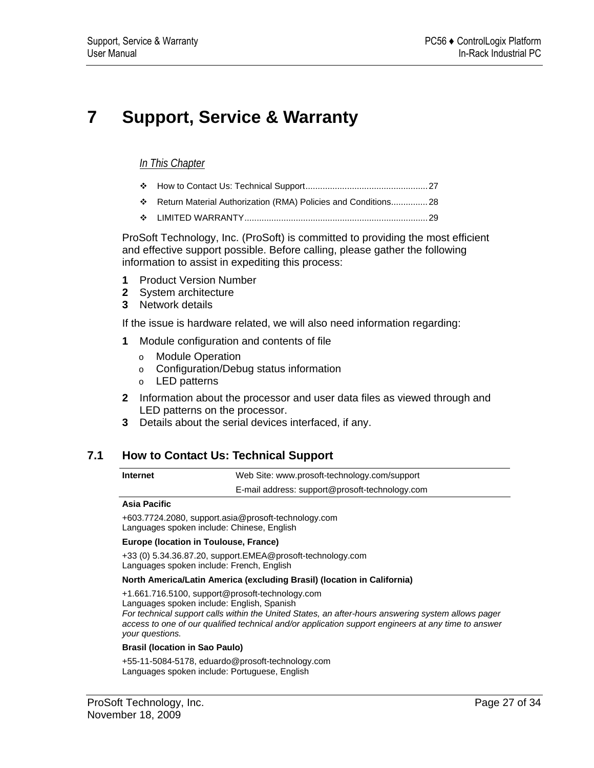# <span id="page-26-0"></span>**7 Support, Service & Warranty**

### *In This Chapter*

- [How to Contact Us: Technical Support.](#page-26-0).................................................[27](#page-26-0)
- [Return Material Authorization \(RMA\) Policies and Conditions](#page-27-0)...............[28](#page-27-0)
- [LIMITED WARRANTY](#page-28-0)...........................................................................[29](#page-28-0)

ProSoft Technology, Inc. (ProSoft) is committed to providing the most efficient and effective support possible. Before calling, please gather the following information to assist in expediting this process:

- **1** Product Version Number
- **2** System architecture
- **3** Network details

If the issue is hardware related, we will also need information regarding:

- **1** Module configuration and contents of file
	- o Module Operation
	- o Configuration/Debug status information
	- o LED patterns
- **2** Information about the processor and user data files as viewed through and LED patterns on the processor.
- **3** Details about the serial devices interfaced, if any.

## **7.1 How to Contact Us: Technical Support**

**Internet** Web Site: www.prosoft-technology.com/support E-mail address: support@prosoft-technology.com

#### **Asia Pacific**

+603.7724.2080, support.asia@prosoft-technology.com Languages spoken include: Chinese, English

#### **Europe (location in Toulouse, France)**

+33 (0) 5.34.36.87.20, support.EMEA@prosoft-technology.com Languages spoken include: French, English

#### **North America/Latin America (excluding Brasil) (location in California)**

+1.661.716.5100, support@prosoft-technology.com Languages spoken include: English, Spanish *For technical support calls within the United States, an after-hours answering system allows pager access to one of our qualified technical and/or application support engineers at any time to answer your questions.*

#### **Brasil (location in Sao Paulo)**

+55-11-5084-5178, eduardo@prosoft-technology.com Languages spoken include: Portuguese, English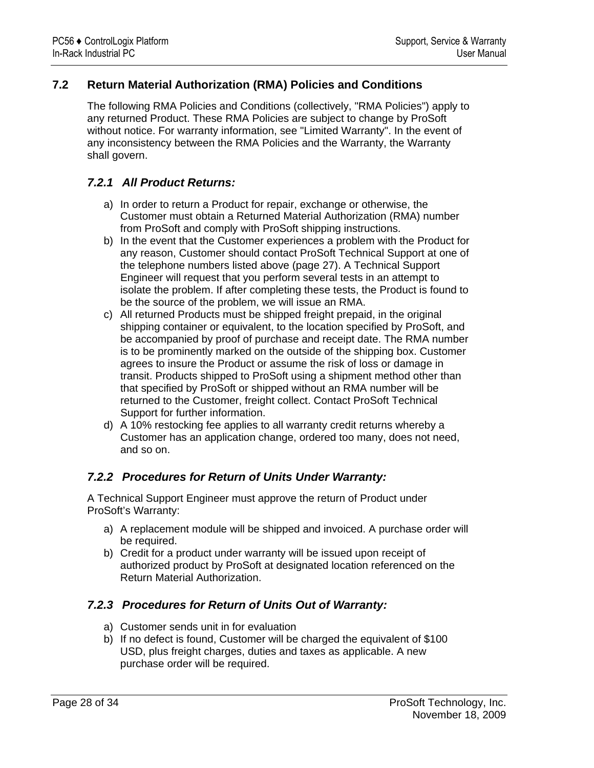## <span id="page-27-0"></span>**7.2 Return Material Authorization (RMA) Policies and Conditions**

The following RMA Policies and Conditions (collectively, "RMA Policies") apply to any returned Product. These RMA Policies are subject to change by ProSoft without notice. For warranty information, see "Limited Warranty". In the event of any inconsistency between the RMA Policies and the Warranty, the Warranty shall govern.

## *7.2.1 All Product Returns:*

- a) In order to return a Product for repair, exchange or otherwise, the Customer must obtain a Returned Material Authorization (RMA) number from ProSoft and comply with ProSoft shipping instructions.
- b) In the event that the Customer experiences a problem with the Product for any reason, Customer should contact ProSoft Technical Support at one of the telephone numbers listed above (page [27\)](#page-26-0). A Technical Support Engineer will request that you perform several tests in an attempt to isolate the problem. If after completing these tests, the Product is found to be the source of the problem, we will issue an RMA.
- c) All returned Products must be shipped freight prepaid, in the original shipping container or equivalent, to the location specified by ProSoft, and be accompanied by proof of purchase and receipt date. The RMA number is to be prominently marked on the outside of the shipping box. Customer agrees to insure the Product or assume the risk of loss or damage in transit. Products shipped to ProSoft using a shipment method other than that specified by ProSoft or shipped without an RMA number will be returned to the Customer, freight collect. Contact ProSoft Technical Support for further information.
- d) A 10% restocking fee applies to all warranty credit returns whereby a Customer has an application change, ordered too many, does not need, and so on.

## *7.2.2 Procedures for Return of Units Under Warranty:*

A Technical Support Engineer must approve the return of Product under ProSoft's Warranty:

- a) A replacement module will be shipped and invoiced. A purchase order will be required.
- b) Credit for a product under warranty will be issued upon receipt of authorized product by ProSoft at designated location referenced on the Return Material Authorization.

## *7.2.3 Procedures for Return of Units Out of Warranty:*

- a) Customer sends unit in for evaluation
- b) If no defect is found, Customer will be charged the equivalent of \$100 USD, plus freight charges, duties and taxes as applicable. A new purchase order will be required.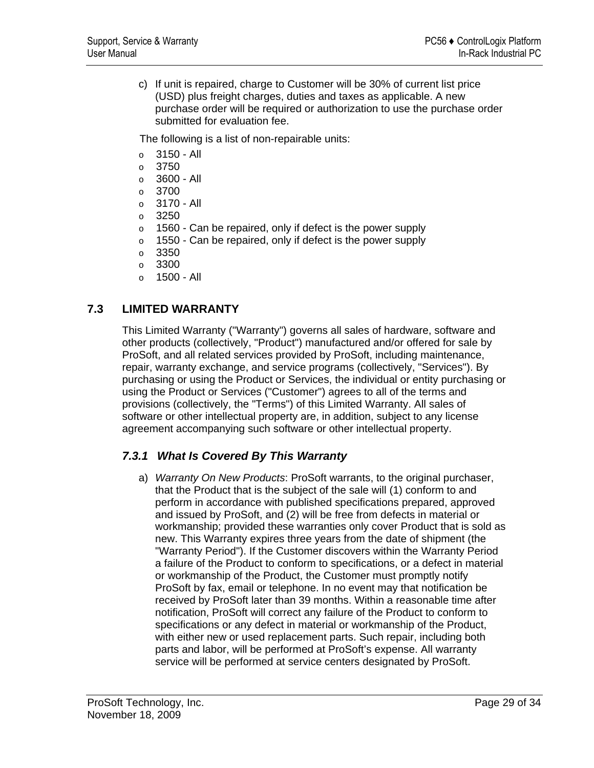<span id="page-28-0"></span>c) If unit is repaired, charge to Customer will be 30% of current list price (USD) plus freight charges, duties and taxes as applicable. A new purchase order will be required or authorization to use the purchase order submitted for evaluation fee.

The following is a list of non-repairable units:

- o 3150 All
- $\circ$  3750
- $\circ$  3600 All
- o 3700
- o 3170 All
- $\degree$  3250
- $\circ$  1560 Can be repaired, only if defect is the power supply
- o 1550 Can be repaired, only if defect is the power supply
- $\circ$  3350
- o 3300
- o 1500 All

## **7.3 LIMITED WARRANTY**

This Limited Warranty ("Warranty") governs all sales of hardware, software and other products (collectively, "Product") manufactured and/or offered for sale by ProSoft, and all related services provided by ProSoft, including maintenance, repair, warranty exchange, and service programs (collectively, "Services"). By purchasing or using the Product or Services, the individual or entity purchasing or using the Product or Services ("Customer") agrees to all of the terms and provisions (collectively, the "Terms") of this Limited Warranty. All sales of software or other intellectual property are, in addition, subject to any license agreement accompanying such software or other intellectual property.

## *7.3.1 What Is Covered By This Warranty*

a) *Warranty On New Products*: ProSoft warrants, to the original purchaser, that the Product that is the subject of the sale will (1) conform to and perform in accordance with published specifications prepared, approved and issued by ProSoft, and (2) will be free from defects in material or workmanship; provided these warranties only cover Product that is sold as new. This Warranty expires three years from the date of shipment (the "Warranty Period"). If the Customer discovers within the Warranty Period a failure of the Product to conform to specifications, or a defect in material or workmanship of the Product, the Customer must promptly notify ProSoft by fax, email or telephone. In no event may that notification be received by ProSoft later than 39 months. Within a reasonable time after notification, ProSoft will correct any failure of the Product to conform to specifications or any defect in material or workmanship of the Product, with either new or used replacement parts. Such repair, including both parts and labor, will be performed at ProSoft's expense. All warranty service will be performed at service centers designated by ProSoft.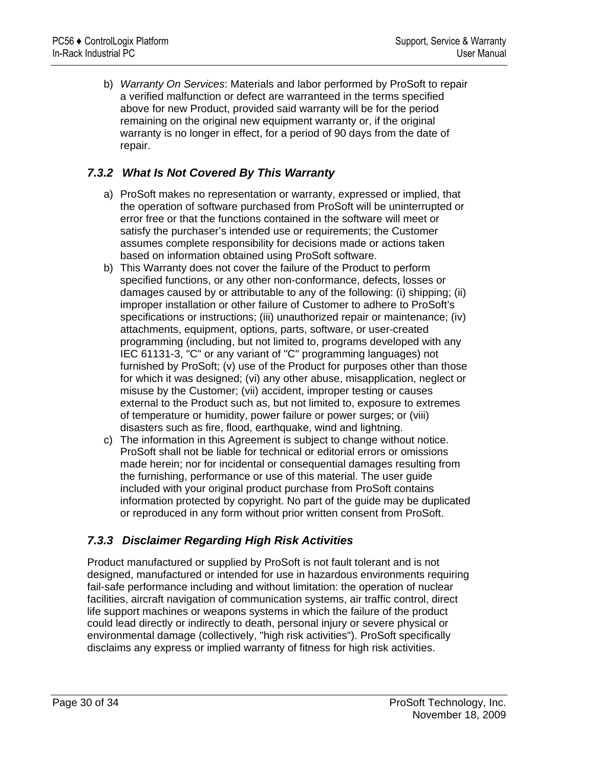b) *Warranty On Services*: Materials and labor performed by ProSoft to repair a verified malfunction or defect are warranteed in the terms specified above for new Product, provided said warranty will be for the period remaining on the original new equipment warranty or, if the original warranty is no longer in effect, for a period of 90 days from the date of repair.

## *7.3.2 What Is Not Covered By This Warranty*

- a) ProSoft makes no representation or warranty, expressed or implied, that the operation of software purchased from ProSoft will be uninterrupted or error free or that the functions contained in the software will meet or satisfy the purchaser's intended use or requirements; the Customer assumes complete responsibility for decisions made or actions taken based on information obtained using ProSoft software.
- b) This Warranty does not cover the failure of the Product to perform specified functions, or any other non-conformance, defects, losses or damages caused by or attributable to any of the following: (i) shipping; (ii) improper installation or other failure of Customer to adhere to ProSoft's specifications or instructions; (iii) unauthorized repair or maintenance; (iv) attachments, equipment, options, parts, software, or user-created programming (including, but not limited to, programs developed with any IEC 61131-3, "C" or any variant of "C" programming languages) not furnished by ProSoft; (v) use of the Product for purposes other than those for which it was designed; (vi) any other abuse, misapplication, neglect or misuse by the Customer; (vii) accident, improper testing or causes external to the Product such as, but not limited to, exposure to extremes of temperature or humidity, power failure or power surges; or (viii) disasters such as fire, flood, earthquake, wind and lightning.
- c) The information in this Agreement is subject to change without notice. ProSoft shall not be liable for technical or editorial errors or omissions made herein; nor for incidental or consequential damages resulting from the furnishing, performance or use of this material. The user guide included with your original product purchase from ProSoft contains information protected by copyright. No part of the guide may be duplicated or reproduced in any form without prior written consent from ProSoft.

## *7.3.3 Disclaimer Regarding High Risk Activities*

Product manufactured or supplied by ProSoft is not fault tolerant and is not designed, manufactured or intended for use in hazardous environments requiring fail-safe performance including and without limitation: the operation of nuclear facilities, aircraft navigation of communication systems, air traffic control, direct life support machines or weapons systems in which the failure of the product could lead directly or indirectly to death, personal injury or severe physical or environmental damage (collectively, "high risk activities"). ProSoft specifically disclaims any express or implied warranty of fitness for high risk activities.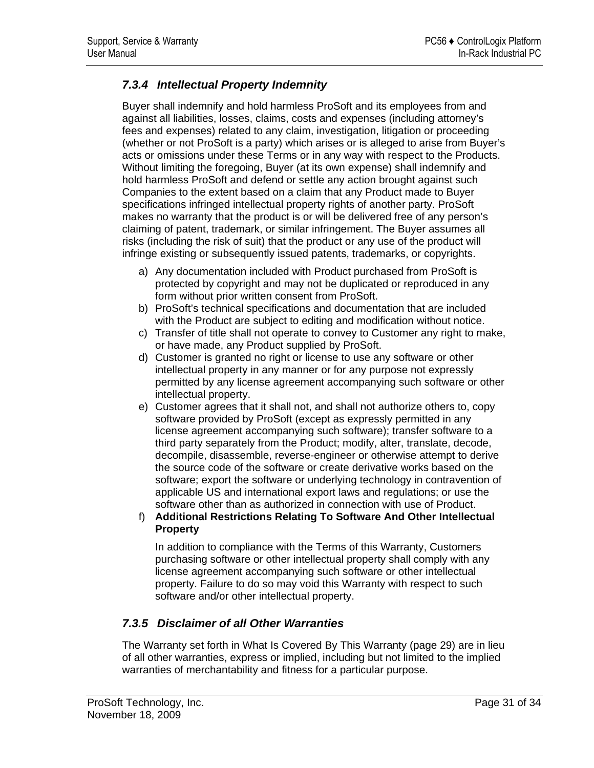# *7.3.4 Intellectual Property Indemnity*

Buyer shall indemnify and hold harmless ProSoft and its employees from and against all liabilities, losses, claims, costs and expenses (including attorney's fees and expenses) related to any claim, investigation, litigation or proceeding (whether or not ProSoft is a party) which arises or is alleged to arise from Buyer's acts or omissions under these Terms or in any way with respect to the Products. Without limiting the foregoing, Buyer (at its own expense) shall indemnify and hold harmless ProSoft and defend or settle any action brought against such Companies to the extent based on a claim that any Product made to Buyer specifications infringed intellectual property rights of another party. ProSoft makes no warranty that the product is or will be delivered free of any person's claiming of patent, trademark, or similar infringement. The Buyer assumes all risks (including the risk of suit) that the product or any use of the product will infringe existing or subsequently issued patents, trademarks, or copyrights.

- a) Any documentation included with Product purchased from ProSoft is protected by copyright and may not be duplicated or reproduced in any form without prior written consent from ProSoft.
- b) ProSoft's technical specifications and documentation that are included with the Product are subject to editing and modification without notice.
- c) Transfer of title shall not operate to convey to Customer any right to make, or have made, any Product supplied by ProSoft.
- d) Customer is granted no right or license to use any software or other intellectual property in any manner or for any purpose not expressly permitted by any license agreement accompanying such software or other intellectual property.
- e) Customer agrees that it shall not, and shall not authorize others to, copy software provided by ProSoft (except as expressly permitted in any license agreement accompanying such software); transfer software to a third party separately from the Product; modify, alter, translate, decode, decompile, disassemble, reverse-engineer or otherwise attempt to derive the source code of the software or create derivative works based on the software; export the software or underlying technology in contravention of applicable US and international export laws and regulations; or use the software other than as authorized in connection with use of Product.
- f) **Additional Restrictions Relating To Software And Other Intellectual Property**

In addition to compliance with the Terms of this Warranty, Customers purchasing software or other intellectual property shall comply with any license agreement accompanying such software or other intellectual property. Failure to do so may void this Warranty with respect to such software and/or other intellectual property.

# *7.3.5 Disclaimer of all Other Warranties*

The Warranty set forth in What Is Covered By This Warranty (page [29\)](#page-28-0) are in lieu of all other warranties, express or implied, including but not limited to the implied warranties of merchantability and fitness for a particular purpose.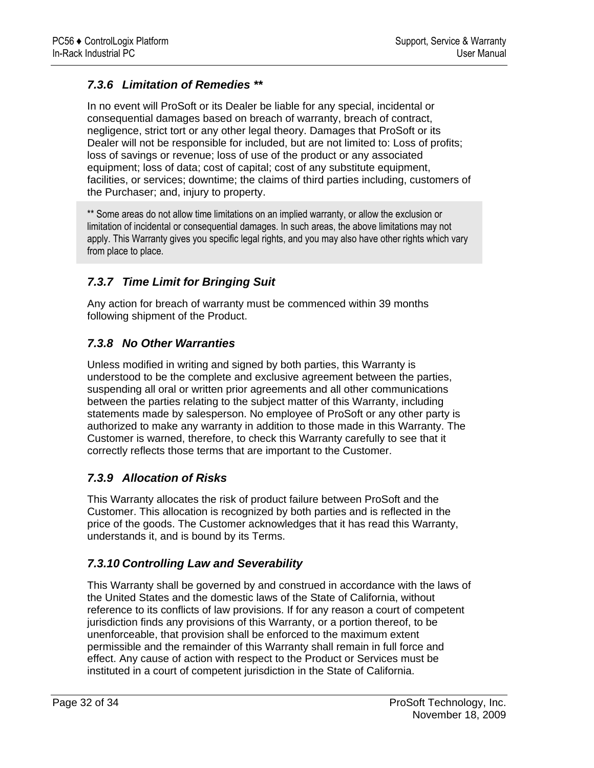# *7.3.6 Limitation of Remedies \*\**

In no event will ProSoft or its Dealer be liable for any special, incidental or consequential damages based on breach of warranty, breach of contract, negligence, strict tort or any other legal theory. Damages that ProSoft or its Dealer will not be responsible for included, but are not limited to: Loss of profits; loss of savings or revenue; loss of use of the product or any associated equipment; loss of data; cost of capital; cost of any substitute equipment, facilities, or services; downtime; the claims of third parties including, customers of the Purchaser; and, injury to property.

\*\* Some areas do not allow time limitations on an implied warranty, or allow the exclusion or limitation of incidental or consequential damages. In such areas, the above limitations may not apply. This Warranty gives you specific legal rights, and you may also have other rights which vary from place to place.

# *7.3.7 Time Limit for Bringing Suit*

Any action for breach of warranty must be commenced within 39 months following shipment of the Product.

# *7.3.8 No Other Warranties*

Unless modified in writing and signed by both parties, this Warranty is understood to be the complete and exclusive agreement between the parties, suspending all oral or written prior agreements and all other communications between the parties relating to the subject matter of this Warranty, including statements made by salesperson. No employee of ProSoft or any other party is authorized to make any warranty in addition to those made in this Warranty. The Customer is warned, therefore, to check this Warranty carefully to see that it correctly reflects those terms that are important to the Customer.

## *7.3.9 Allocation of Risks*

This Warranty allocates the risk of product failure between ProSoft and the Customer. This allocation is recognized by both parties and is reflected in the price of the goods. The Customer acknowledges that it has read this Warranty, understands it, and is bound by its Terms.

## *7.3.10 Controlling Law and Severability*

This Warranty shall be governed by and construed in accordance with the laws of the United States and the domestic laws of the State of California, without reference to its conflicts of law provisions. If for any reason a court of competent jurisdiction finds any provisions of this Warranty, or a portion thereof, to be unenforceable, that provision shall be enforced to the maximum extent permissible and the remainder of this Warranty shall remain in full force and effect. Any cause of action with respect to the Product or Services must be instituted in a court of competent jurisdiction in the State of California.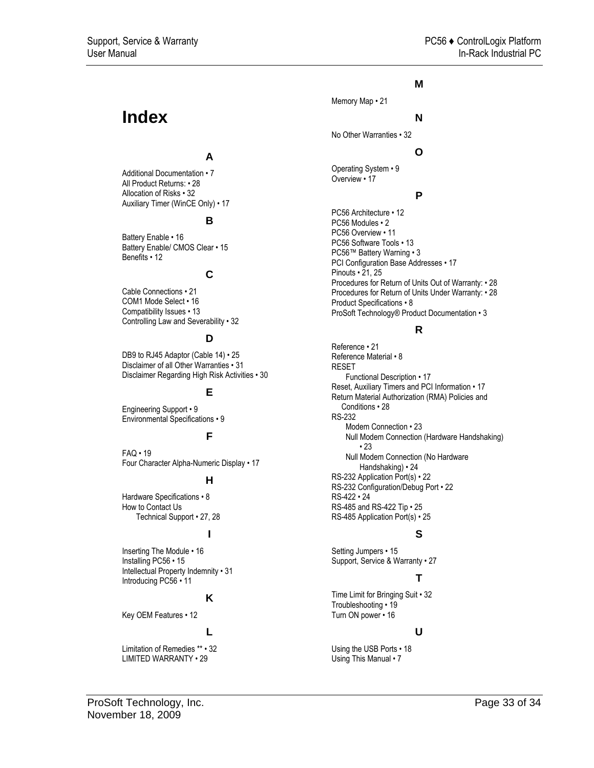# <span id="page-32-0"></span>**Index**

### **A**

Additional Documentation • 7 All Product Returns: • 28 Allocation of Risks • 32 Auxiliary Timer (WinCE Only) • 17

#### **B**

Battery Enable • 16 Battery Enable/ CMOS Clear • 15 Benefits • 12

#### **C**

Cable Connections • 21 COM1 Mode Select • 16 Compatibility Issues • 13 Controlling Law and Severability • 32

#### **D**

DB9 to RJ45 Adaptor (Cable 14) • 25 Disclaimer of all Other Warranties • 31 Disclaimer Regarding High Risk Activities • 30

#### **E**

Engineering Support • 9 Environmental Specifications • 9

#### **F**

 $FAQ \cdot 19$ Four Character Alpha-Numeric Display • 17

#### **H**

Hardware Specifications • 8 How to Contact Us Technical Support • 27, 28

#### **I**

Inserting The Module • 16 Installing PC56 • 15 Intellectual Property Indemnity • 31 Introducing PC56 • 11

#### **K**

Key OEM Features • 12

#### **L**

Limitation of Remedies \*\* • 32 LIMITED WARRANTY • 29

#### **M**

Memory Map • 21

#### **N**

No Other Warranties • 32

#### **O**

Operating System • 9 Overview • 17

#### **P**

PC56 Architecture • 12 PC56 Modules • 2 PC56 Overview • 11 PC56 Software Tools • 13 PC56™ Battery Warning • 3 PCI Configuration Base Addresses • 17 Pinouts • 21, 25 Procedures for Return of Units Out of Warranty: • 28 Procedures for Return of Units Under Warranty: • 28 Product Specifications • 8 ProSoft Technology® Product Documentation • 3

#### **R**

Reference • 21 Reference Material • 8 RESET Functional Description • 17 Reset, Auxiliary Timers and PCI Information • 17 Return Material Authorization (RMA) Policies and Conditions • 28 RS-232 Modem Connection • 23 Null Modem Connection (Hardware Handshaking)  $• 23$ Null Modem Connection (No Hardware Handshaking) • 24 RS-232 Application Port(s) • 22 RS-232 Configuration/Debug Port • 22 RS-422 • 24 RS-485 and RS-422 Tip • 25 RS-485 Application Port(s) • 25

## **S**

Setting Jumpers • 15 Support, Service & Warranty • 27

## **T**

Time Limit for Bringing Suit • 32 Troubleshooting • 19 Turn ON power • 16

#### **U**

Using the USB Ports • 18 Using This Manual • 7